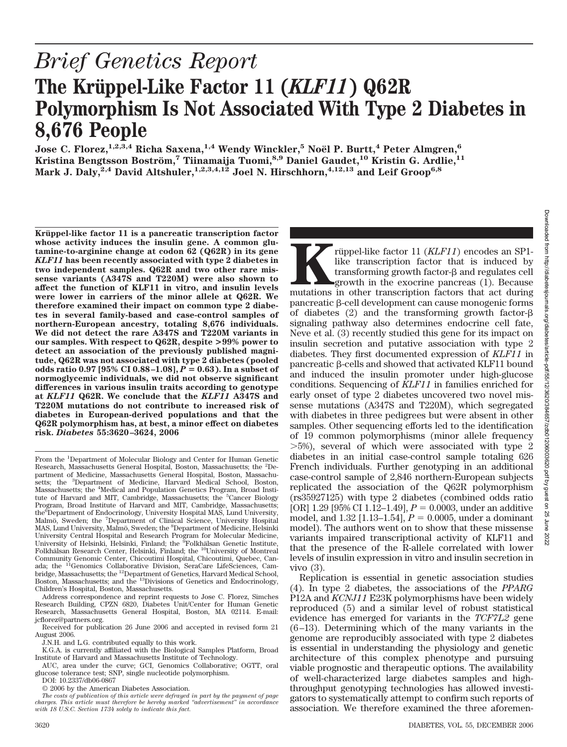# *Brief Genetics Report* The Krüppel-Like Factor 11 (*KLF11*) Q62R **Polymorphism Is Not Associated With Type 2 Diabetes in 8,676 People**

 $J$ ose C. Florez, $^{1,2,3,4}$  Richa Saxena, $^{1,4}$  Wendy Winckler, $^5$  Noël P. Burtt, $^4$  Peter Almgren, $^6$ **Kristina Bengtsson Bostro¨m,<sup>7</sup> Tiinamaija Tuomi,8,9 Daniel Gaudet,10 Kristin G. Ardlie,11 Mark J. Daly,2,4 David Altshuler,1,2,3,4,12 Joel N. Hirschhorn,4,12,13 and Leif Groop6,8**

**Kru¨ppel-like factor 11 is a pancreatic transcription factor whose activity induces the insulin gene. A common glutamine-to-arginine change at codon 62 (Q62R) in its gene** *KLF11* **has been recently associated with type 2 diabetes in two independent samples. Q62R and two other rare missense variants (A347S and T220M) were also shown to affect the function of KLF11 in vitro, and insulin levels were lower in carriers of the minor allele at Q62R. We therefore examined their impact on common type 2 diabetes in several family-based and case-control samples of northern-European ancestry, totaling 8,676 individuals. We did not detect the rare A347S and T220M variants in our samples. With respect to Q62R, despite >99% power to detect an association of the previously published magnitude, Q62R was not associated with type 2 diabetes (pooled odds ratio 0.97 [95% CI 0.88-1.08],**  $P = 0.63$ **). In a subset of normoglycemic individuals, we did not observe significant differences in various insulin traits according to genotype at** *KLF11* **Q62R. We conclude that the** *KLF11* **A347S and T220M mutations do not contribute to increased risk of diabetes in European-derived populations and that the Q62R polymorphism has, at best, a minor effect on diabetes risk.** *Diabetes* **55:3620–3624, 2006**

**Kruppel-like factor 11 (***KLF11***) encodes an SP1-**<br>like transcription factor that is induced by<br>transforming growth factor-β and regulates cell<br>growth in the exocrine pancreas (1). Because<br>mutations in other transcription

of diabetes  $(2)$  and the transforming growth factor- $\beta$ signaling pathway also determines endocrine cell fate,

insulin secretion and putative association with type 2 diabetes. They first documented expression of *KLF11* in

conditions. Sequencing of *KLF11* in families enriched for early onset of type 2 diabetes uncovered two novel missense mutations (A347S and T220M), which segregated with diabetes in three pedigrees but were absent in other samples. Other sequencing efforts led to the identification of 19 common polymorphisms (minor allele frequency -5%), several of which were associated with type 2 diabetes in an initial case-control sample totaling 626 French individuals. Further genotyping in an additional

(rs35927125) with type 2 diabetes (combined odds ratio [OR] 1.29 [95% CI 1.12–1.49],  $P = 0.0003$ , under an additive model, and  $1.32$  [1.13–1.54],  $P = 0.0005$ , under a dominant model). The authors went on to show that these missense variants impaired transcriptional activity of KLF11 and that the presence of the R-allele correlated with lower levels of insulin expression in vitro and insulin secretion in

Replication is essential in genetic association studies (4). In type 2 diabetes, the associations of the *PPARG* P12A and *KCNJ11* E23K polymorphisms have been widely reproduced (5) and a similar level of robust statistical evidence has emerged for variants in the *TCF7L2* gene (6–13). Determining which of the many variants in the genome are reproducibly associated with type 2 diabetes is essential in understanding the physiology and genetic architecture of this complex phenotype and pursuing viable prognostic and therapeutic options. The availability of well-characterized large diabetes samples and highthroughput genotyping technologies has allowed investigators to systematically attempt to confirm such reports of association. We therefore examined the three aforemen-

vivo (3).

like transcription factor that is induced by transforming growth factor- $\beta$  and regulates cell growth in the exocrine pancreas (1). Because

From the <sup>1</sup>Department of Molecular Biology and Center for Human Genetic Research, Massachusetts General Hospital, Boston, Massachusetts; the <sup>2</sup>Department of Medicine, Massachusetts General Hospital, Boston, Massachusetts; the <sup>3</sup>Department of Medicine, Harvard Medical School, Boston, Massachusetts; the <sup>4</sup> Medical and Population Genetics Program, Broad Institute of Harvard and MIT, Cambridge, Massachusetts; the <sup>5</sup>Cancer Biology Program, Broad Institute of Harvard and MIT, Cambridge, Massachusetts; the<sup>6</sup>Department of Endocrinology, University Hospital MAS, Lund University, Malmö, Sweden; the <sup>7</sup>Department of Clinical Science, University Hospital MAS, Lund University, Malmö, Sweden; the <sup>8</sup>Department of Medicine, Helsinki University Central Hospital and Research Program for Molecular Medicine, University of Helsinki, Helsinki, Finland; the <sup>5</sup>Folkhälsan Genetic Institute,<br>Folkhälsan Research Center, Helsinki, Finland; the <sup>10</sup>University of Montreal Community Genomic Center, Chicoutimi Hospital, Chicoutimi, Quebec, Canada; the <sup>11</sup>Genomics Collaborative Division, SeraCare LifeSciences, Cam-<br>bridge, Massachusetts; the <sup>12</sup>Department of Genetics, Harvard Medical School, Boston, Massachusetts; and the <sup>13</sup>Divisions of Genetics and Endocrinology, Children's Hospital, Boston, Massachusetts.

Address correspondence and reprint requests to Jose C. Florez, Simches Research Building, CPZN 6820, Diabetes Unit/Center for Human Genetic Research, Massachusetts General Hospital, Boston, MA 02114. E-mail: jcflorez@partners.org.

Received for publication 26 June 2006 and accepted in revised form 21 August 2006.

J.N.H. and L.G. contributed equally to this work.

K.G.A. is currently affiliated with the Biological Samples Platform, Broad Institute of Harvard and Massachusetts Institute of Technology.

AUC, area under the curve; GCI, Genomics Collaborative; OGTT, oral glucose tolerance test; SNP, single nucleotide polymorphism.

DOI: 10.2337/db06-0867

<sup>© 2006</sup> by the American Diabetes Association.

*The costs of publication of this article were defrayed in part by the payment of page charges. This article must therefore be hereby marked "advertisement" in accordance with 18 U.S.C. Section 1734 solely to indicate this fact.*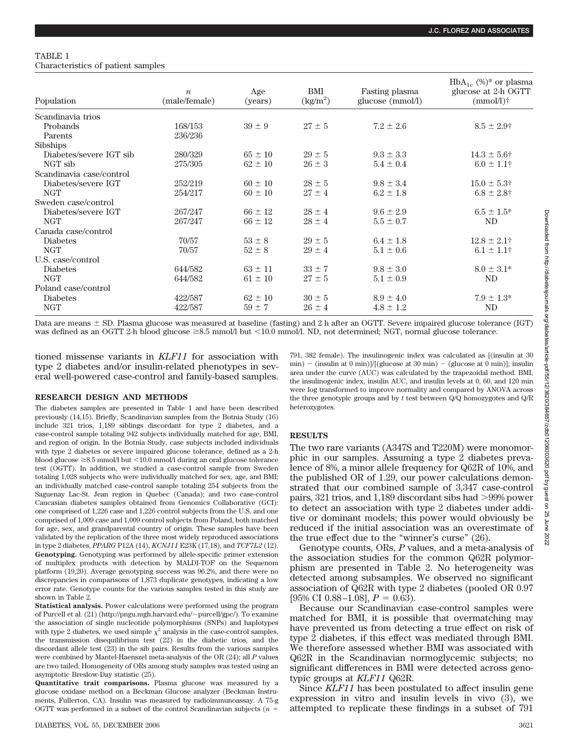#### TABLE 1 Characteristics of patient samples

| Population               | $\boldsymbol{n}$<br>(male/female) | Age<br>(years) | BMI<br>(kg/m <sup>2</sup> ) | Fasting plasma<br>glucose (mmol/l) | $HbA_{1c}$ (%)* or plasma<br>glucose at 2-h OGTT<br>$(mmol/l)$ † |
|--------------------------|-----------------------------------|----------------|-----------------------------|------------------------------------|------------------------------------------------------------------|
| Scandinavia trios        |                                   |                |                             |                                    |                                                                  |
| Probands                 | 168/153                           | $39 \pm 9$     | $27 \pm 5$                  | $7.2 \pm 2.6$                      | $8.5 \pm 2.9$ †                                                  |
| Parents                  | 236/236                           |                |                             |                                    |                                                                  |
| <b>Sibships</b>          |                                   |                |                             |                                    |                                                                  |
| Diabetes/severe IGT sib  | 280/329                           | $65 \pm 10$    | $29 \pm 5$                  | $9.3 \pm 3.3$                      | $14.3 \pm 5.6$ †                                                 |
| NGT sib                  | 275/305                           | $62 \pm 10$    | $26 \pm 3$                  | $5.4 \pm 0.4$                      | $6.0 \pm 1.1$ †                                                  |
| Scandinavia case/control |                                   |                |                             |                                    |                                                                  |
| Diabetes/severe IGT      | 252/219                           | $60 \pm 10$    | $28 \pm 5$                  | $9.8 \pm 3.4$                      | $15.0 \pm 5.3^{\dagger}$                                         |
| <b>NGT</b>               | 254/217                           | $60 \pm 10$    | $27\pm4$                    | $6.2 \pm 1.8$                      | $6.8 \pm 2.8$ †                                                  |
| Sweden case/control      |                                   |                |                             |                                    |                                                                  |
| Diabetes/severe IGT      | 267/247                           | $66 \pm 12$    | $28 \pm 4$                  | $9.6 \pm 2.9$                      | $6.5 \pm 1.5^*$                                                  |
| <b>NGT</b>               | 267/247                           | $66 \pm 12$    | $28 \pm 4$                  | $5.5 \pm 0.7$                      | N <sub>D</sub>                                                   |
| Canada case/control      |                                   |                |                             |                                    |                                                                  |
| <b>Diabetes</b>          | 70/57                             | $53 \pm 8$     | $29 \pm 5$                  | $6.4 \pm 1.8$                      | $12.8 \pm 2.1$ †                                                 |
| <b>NGT</b>               | 70/57                             | $52 \pm 8$     | $29 \pm 4$                  | $5.1 \pm 0.6$                      | $6.1 \pm 1.1$ †                                                  |
| U.S. case/control        |                                   |                |                             |                                    |                                                                  |
| <b>Diabetes</b>          | 644/582                           | $63 \pm 11$    | $33 \pm 7$                  | $9.8 \pm 3.0$                      | $8.0 \pm 3.1*$                                                   |
| <b>NGT</b>               | 644/582                           | $61 \pm 10$    | $27 \pm 5$                  | $5.1 \pm 0.9$                      | ND                                                               |
| Poland case/control      |                                   |                |                             |                                    |                                                                  |
| <b>Diabetes</b>          | 422/587                           | $62 \pm 10$    | $30 \pm 5$                  | $8.9 \pm 4.0$                      | $7.9 \pm 1.3*$                                                   |
| <b>NGT</b>               | 422/587                           | $59 \pm 7$     | $26 \pm 4$                  | $4.8 \pm 1.2$                      | ND                                                               |

Data are means  $\pm$  SD. Plasma glucose was measured at baseline (fasting) and 2 h after an OGTT. Severe impaired glucose tolerance (IGT) was defined as an OGTT 2-h blood glucose  $\geq 8.5$  mmol/l but  $\leq 10.0$  mmol/l. ND, not determined; NGT, normal glucose tolerance.

tioned missense variants in *KLF11* for association with type 2 diabetes and/or insulin-related phenotypes in several well-powered case-control and family-based samples.

## **RESEARCH DESIGN AND METHODS**

The diabetes samples are presented in Table 1 and have been described previously (14,15). Briefly, Scandinavian samples from the Botnia Study (16) include 321 trios, 1,189 siblings discordant for type 2 diabetes, and a case-control sample totaling 942 subjects individually matched for age, BMI, and region of origin. In the Botnia Study, case subjects included individuals with type 2 diabetes or severe impaired glucose tolerance, defined as a 2-h blood glucose  $\geq 8.5$  mmol/l but <10.0 mmol/l during an oral glucose tolerance test (OGTT). In addition, we studied a case-control sample from Sweden totaling 1,028 subjects who were individually matched for sex, age, and BMI; an individually matched case-control sample totaling 254 subjects from the Saguenay Lac-St. Jean region in Quebec (Canada); and two case-control Caucasian diabetes samples obtained from Genomics Collaborative (GCI): one comprised of 1,226 case and 1,226 control subjects from the U.S. and one comprised of 1,009 case and 1,009 control subjects from Poland, both matched for age, sex, and grandparental country of origin. These samples have been validated by the replication of the three most widely reproduced associations in type 2 diabetes, *PPARG* P12A (14), *KCNJ11* E23K (17,18), and *TCF7L2* (12). **Genotyping.** Genotyping was performed by allele-specific primer extension of multiplex products with detection by MALDI-TOF on the Sequenom platform (19,20). Average genotyping success was 96.2%, and there were no discrepancies in comparisons of 1,873 duplicate genotypes, indicating a low error rate. Genotype counts for the various samples tested in this study are shown in Table 2.

**Statistical analysis.** Power calculations were performed using the program of Purcell et al.  $(21)$  (http://pngu.mgh.harvard.edu/~purcell/gpc/). To examine the association of single nucleotide polymorphisms (SNPs) and haplotypes with type 2 diabetes, we used simple  $\chi^2$  analysis in the case-control samples, the transmission disequilibrium test (22) in the diabetic trios, and the discordant allele test (23) in the sib pairs. Results from the various samples were combined by Mantel-Haenszel meta-analysis of the OR (24); all *P* values are two tailed. Homogeneity of ORs among study samples was tested using an asymptotic Breslow-Day statistic (25).

**Quantitative trait comparisons.** Plasma glucose was measured by a glucose oxidase method on a Beckman Glucose analyzer (Beckman Instruments, Fullerton, CA). Insulin was measured by radioimmunoassay. A 75-g OGTT was performed in a subset of the control Scandinavian subjects (*n*

791, 382 female). The insulinogenic index was calculated as [(insulin at 30 min) – (insulin at 0 min)]/[(glucose at 30 min) – (glucose at 0 min)]; insulin area under the curve (AUC) was calculated by the trapezoidal method. BMI, the insulinogenic index, insulin AUC, and insulin levels at 0, 60, and 120 min were log transformed to improve normality and compared by ANOVA across the three genotypic groups and by *t* test between Q/Q homozygotes and Q/R heterozygotes.

# **RESULTS**

The two rare variants (A347S and T220M) were monomorphic in our samples. Assuming a type 2 diabetes prevalence of 8%, a minor allele frequency for Q62R of 10%, and the published OR of 1.29, our power calculations demonstrated that our combined sample of 3,347 case-control pairs, 321 trios, and 1,189 discordant sibs had >99% power to detect an association with type 2 diabetes under additive or dominant models; this power would obviously be reduced if the initial association was an overestimate of the true effect due to the "winner's curse" (26).

Genotype counts, ORs, *P* values, and a meta-analysis of the association studies for the common Q62R polymorphism are presented in Table 2. No heterogeneity was detected among subsamples. We observed no significant association of Q62R with type 2 diabetes (pooled OR 0.97 [95% CI 0.88–1.08],  $P = 0.63$ ).

Because our Scandinavian case-control samples were matched for BMI, it is possible that overmatching may have prevented us from detecting a true effect on risk of type 2 diabetes, if this effect was mediated through BMI. We therefore assessed whether BMI was associated with Q62R in the Scandinavian normoglycemic subjects; no significant differences in BMI were detected across genotypic groups at *KLF11* Q62R.

Since *KLF11* has been postulated to affect insulin gene expression in vitro and insulin levels in vivo (3), we attempted to replicate these findings in a subset of 791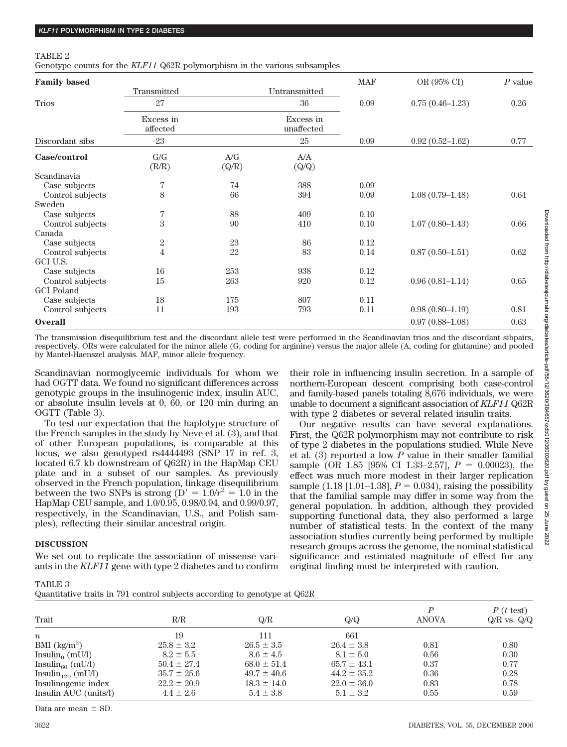#### TABLE 2

Genotype counts for the *KLF11* Q62R polymorphism in the various subsamples

| <b>Family based</b> |                       |                                                        |                         | <b>MAF</b> | OR (95% CI)         | $P$ value |
|---------------------|-----------------------|--------------------------------------------------------|-------------------------|------------|---------------------|-----------|
|                     | Transmitted           |                                                        | Untransmitted           |            |                     |           |
| <b>Trios</b>        | 27                    |                                                        | 36                      | 0.09       | $0.75(0.46-1.23)$   | 0.26      |
|                     | Excess in<br>affected |                                                        | Excess in<br>unaffected |            |                     |           |
| Discordant sibs     | 23                    |                                                        | 25                      | 0.09       | $0.92(0.52 - 1.62)$ | 0.77      |
| Case/control        | G/G<br>(R/R)          | $\ensuremath{\text{A}}/\ensuremath{\text{G}}$<br>(Q/R) | A/A<br>(Q/Q)            |            |                     |           |
| Scandinavia         |                       |                                                        |                         |            |                     |           |
| Case subjects       | 7                     | 74                                                     | 388                     | 0.09       |                     |           |
| Control subjects    | 8                     | 66                                                     | 394                     | 0.09       | $1.08(0.79-1.48)$   | 0.64      |
| Sweden              |                       |                                                        |                         |            |                     |           |
| Case subjects       | 7                     | 88                                                     | 409                     | 0.10       |                     |           |
| Control subjects    | 3                     | 90                                                     | 410                     | 0.10       | $1.07(0.80-1.43)$   | 0.66      |
| Canada              |                       |                                                        |                         |            |                     |           |
| Case subjects       | $\boldsymbol{2}$      | 23                                                     | 86                      | 0.12       |                     |           |
| Control subjects    | $\overline{4}$        | 22                                                     | 83                      | 0.14       | $0.87(0.50-1.51)$   | 0.62      |
| GCI U.S.            |                       |                                                        |                         |            |                     |           |
| Case subjects       | 16                    | 253                                                    | 938                     | 0.12       |                     |           |
| Control subjects    | 15                    | 263                                                    | 920                     | 0.12       | $0.96(0.81 - 1.14)$ | 0.65      |
| <b>GCI</b> Poland   |                       |                                                        |                         |            |                     |           |
| Case subjects       | 18                    | 175                                                    | 807                     | 0.11       |                     |           |
| Control subjects    | 11                    | 193                                                    | 793                     | 0.11       | $0.98(0.80-1.19)$   | 0.81      |
| <b>Overall</b>      |                       |                                                        |                         |            | $0.97(0.88 - 1.08)$ | 0.63      |

The transmission disequilibrium test and the discordant allele test were performed in the Scandinavian trios and the discordant sibpairs, respectively. ORs were calculated for the minor allele (G, coding for arginine) versus the major allele (A, coding for glutamine) and pooled by Mantel-Haenszel analysis. MAF, minor allele frequency.

Scandinavian normoglycemic individuals for whom we had OGTT data. We found no significant differences across genotypic groups in the insulinogenic index, insulin AUC, or absolute insulin levels at 0, 60, or 120 min during an OGTT (Table 3).

To test our expectation that the haplotype structure of the French samples in the study by Neve et al. (3), and that of other European populations, is comparable at this locus, we also genotyped rs4444493 (SNP 17 in ref. 3, located 6.7 kb downstream of Q62R) in the HapMap CEU plate and in a subset of our samples. As previously observed in the French population, linkage disequilibrium between the two SNPs is strong ( $D' = 1.0/r^2 = 1.0$  in the HapMap CEU sample, and 1.0/0.95, 0.98/0.94, and 0.99/0.97, respectively, in the Scandinavian, U.S., and Polish samples), reflecting their similar ancestral origin.

# northern-European descent comprising both case-control and family-based panels totaling 8,676 individuals, we were unable to document a significant association of *KLF11* Q62R with type 2 diabetes or several related insulin traits. Our negative results can have several explanations.

First, the Q62R polymorphism may not contribute to risk of type 2 diabetes in the populations studied. While Neve et al. (3) reported a low *P* value in their smaller familial sample (OR 1.85 [95% CI 1.33–2.57],  $P = 0.00023$ ), the effect was much more modest in their larger replication sample  $(1.18 [1.01-1.38], P = 0.034)$ , raising the possibility that the familial sample may differ in some way from the general population. In addition, although they provided supporting functional data, they also performed a large number of statistical tests. In the context of the many association studies currently being performed by multiple research groups across the genome, the nominal statistical significance and estimated magnitude of effect for any original finding must be interpreted with caution.

## **DISCUSSION**

We set out to replicate the association of missense variants in the *KLF11* gene with type 2 diabetes and to confirm

|--|--|

Quantitative traits in 791 control subjects according to genotype at Q62R

| Trait                        | R/R             | Q/R             | Q/Q             | P<br><b>ANOVA</b> | $P(t \text{ test})$<br>$Q/R$ vs. $Q/Q$ |
|------------------------------|-----------------|-----------------|-----------------|-------------------|----------------------------------------|
| $\boldsymbol{n}$             | 19              | 111             | 661             |                   |                                        |
| BMI $(kg/m^2)$               | $25.8 \pm 3.2$  | $26.5 \pm 3.5$  | $26.4 \pm 3.8$  | 0.81              | 0.80                                   |
| Insulin <sub>o</sub> (mU/l)  | $8.2 \pm 5.5$   | $8.6 \pm 4.5$   | $8.1 \pm 5.0$   | 0.56              | 0.30                                   |
| Insulin <sub>60</sub> (mU/l) | $50.4 \pm 27.4$ | $68.0 \pm 51.4$ | $65.7 \pm 43.1$ | 0.37              | 0.77                                   |
| Insulin $_{120}$ (mU/l)      | $35.7 \pm 25.6$ | $49.7 \pm 40.6$ | $44.2 \pm 35.2$ | 0.36              | 0.28                                   |
| Insulinogenic index          | $22.2 \pm 20.9$ | $18.3 \pm 14.0$ | $22.0 \pm 36.0$ | 0.83              | 0.78                                   |
| Insulin AUC (units/l)        | $4.4 \pm 2.6$   | $5.4 \pm 3.8$   | $5.1 \pm 3.2$   | 0.55              | 0.59                                   |

Downloaded from http://diabetesjournals.org/diabetes/article-pdf/55/12/3620/384657/zdb01206003620.pdf by guest on 25 June Downloaded from http://diabetesjournals.org/diabetes/article-pdf/55/12/3620/384657/zdb01206003620.pdf by guest on 25 June 2022

2022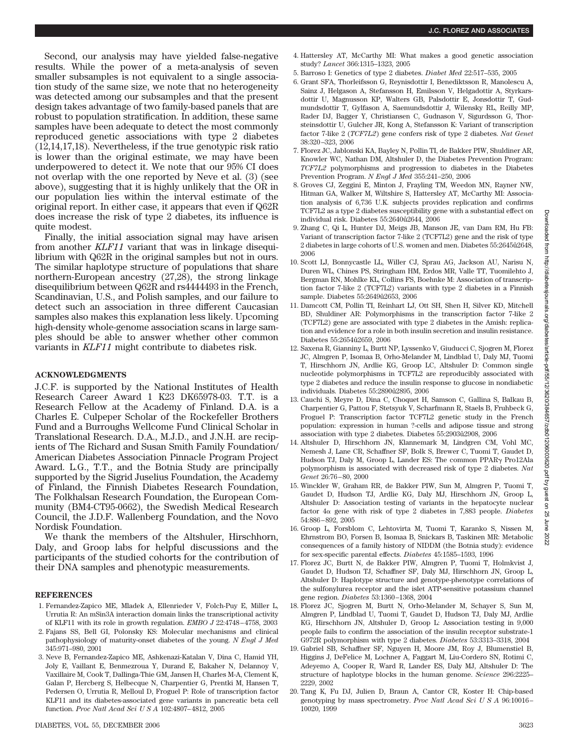Second, our analysis may have yielded false-negative results. While the power of a meta-analysis of seven smaller subsamples is not equivalent to a single association study of the same size, we note that no heterogeneity was detected among our subsamples and that the present design takes advantage of two family-based panels that are robust to population stratification. In addition, these same samples have been adequate to detect the most commonly reproduced genetic associations with type 2 diabetes (12,14,17,18). Nevertheless, if the true genotypic risk ratio is lower than the original estimate, we may have been underpowered to detect it. We note that our 95% CI does not overlap with the one reported by Neve et al. (3) (see above), suggesting that it is highly unlikely that the OR in our population lies within the interval estimate of the original report. In either case, it appears that even if Q62R does increase the risk of type 2 diabetes, its influence is quite modest.

Finally, the initial association signal may have arisen from another *KLF11* variant that was in linkage disequilibrium with Q62R in the original samples but not in ours. The similar haplotype structure of populations that share northern-European ancestry (27,28), the strong linkage disequilibrium between Q62R and rs4444493 in the French, Scandinavian, U.S., and Polish samples, and our failure to detect such an association in three different Caucasian samples also makes this explanation less likely. Upcoming high-density whole-genome association scans in large samples should be able to answer whether other common variants in *KLF11* might contribute to diabetes risk.

#### **ACKNOWLEDGMENTS**

J.C.F. is supported by the National Institutes of Health Research Career Award 1 K23 DK65978-03. T.T. is a Research Fellow at the Academy of Finland. D.A. is a Charles E. Culpeper Scholar of the Rockefeller Brothers Fund and a Burroughs Wellcome Fund Clinical Scholar in Translational Research. D.A., M.J.D., and J.N.H. are recipients of The Richard and Susan Smith Family Foundation/ American Diabetes Association Pinnacle Program Project Award. L.G., T.T., and the Botnia Study are principally supported by the Sigrid Juselius Foundation, the Academy of Finland, the Finnish Diabetes Research Foundation, The Folkhalsan Research Foundation, the European Community (BM4-CT95-0662), the Swedish Medical Research Council, the J.D.F. Wallenberg Foundation, and the Novo Nordisk Foundation.

We thank the members of the Altshuler, Hirschhorn, Daly, and Groop labs for helpful discussions and the participants of the studied cohorts for the contribution of their DNA samples and phenotypic measurements.

#### **REFERENCES**

- 1. Fernandez-Zapico ME, Mladek A, Ellenrieder V, Folch-Puy E, Miller L, Urrutia R: An mSin3A interaction domain links the transcriptional activity of KLF11 with its role in growth regulation. *EMBO J* 22:4748–4758, 2003
- 2. Fajans SS, Bell GI, Polonsky KS: Molecular mechanisms and clinical pathophysiology of maturity-onset diabetes of the young. *N Engl J Med* 345:971–980, 2001
- 3. Neve B, Fernandez-Zapico ME, Ashkenazi-Katalan V, Dina C, Hamid YH, Joly E, Vaillant E, Benmezroua Y, Durand E, Bakaher N, Delannoy V, Vaxillaire M, Cook T, Dallinga-Thie GM, Jansen H, Charles M-A, Clement K, Galan P, Hercberg S, Helbecque N, Charpentier G, Prentki M, Hansen T, Pedersen O, Urrutia R, Melloul D, Froguel P: Role of transcription factor KLF11 and its diabetes-associated gene variants in pancreatic beta cell function. *Proc Natl Acad SciUSA* 102:4807–4812, 2005
- 4. Hattersley AT, McCarthy MI: What makes a good genetic association study? *Lancet* 366:1315–1323, 2005
- 5. Barroso I: Genetics of type 2 diabetes. *Diabet Med* 22:517–535, 2005
- 6. Grant SFA, Thorleifsson G, Reynisdottir I, Benediktsson R, Manolescu A, Sainz J, Helgason A, Stefansson H, Emilsson V, Helgadottir A, Styrkarsdottir U, Magnusson KP, Walters GB, Palsdottir E, Jonsdottir T, Gudmundsdottir T, Gylfason A, Saemundsdottir J, Wilensky RL, Reilly MP, Rader DJ, Bagger Y, Christiansen C, Gudnason V, Sigurdsson G, Thorsteinsdottir U, Gulcher JR, Kong A, Stefansson K: Variant of transcription factor 7-like 2 (*TCF7L2*) gene confers risk of type 2 diabetes. *Nat Genet* 38:320–323, 2006
- 7. Florez JC, Jablonski KA, Bayley N, Pollin TI, de Bakker PIW, Shuldiner AR, Knowler WC, Nathan DM, Altshuler D, the Diabetes Prevention Program: *TCF7L2* polymorphisms and progression to diabetes in the Diabetes Prevention Program. *N Engl J Med* 355:241–250, 2006
- 8. Groves CJ, Zeggini E, Minton J, Frayling TM, Weedon MN, Rayner NW, Hitman GA, Walker M, Wiltshire S, Hattersley AT, McCarthy MI: Association analysis of 6,736 U.K. subjects provides replication and confirms TCF7L2 as a type 2 diabetes susceptibility gene with a substantial effect on individual risk. Diabetes 55:2640û2644, 2006
- 9. Zhang C, Qi L, Hunter DJ, Meigs JB, Manson JE, van Dam RM, Hu FB: Variant of transcription factor 7-like 2 (TCF7L2) gene and the risk of type 2 diabetes in large cohorts of U.S. women and men. Diabetes 55:2645û2648, 2006
- 10. Scott LJ, Bonnycastle LL, Willer CJ, Sprau AG, Jackson AU, Narisu N, Duren WL, Chines PS, Stringham HM, Erdos MR, Valle TT, Tuomilehto J, Bergman RN, Mohlke KL, Collins FS, Boehnke M: Association of transcription factor 7-like 2 (TCF7L2) variants with type 2 diabetes in a Finnish sample. Diabetes 55:2649û2653, 2006
- 11. Damcott CM, Pollin TI, Reinhart LJ, Ott SH, Shen H, Silver KD, Mitchell BD, Shuldiner AR: Polymorphisms in the transcription factor 7-like 2 (TCF7L2) gene are associated with type 2 diabetes in the Amish: replication and evidence for a role in both insulin secretion and insulin resistance. Diabetes 55:2654û2659, 2006
- 12. Saxena R, Gianniny L, Burtt NP, Lyssenko V, Giuducci C, Sjogren M, Florez JC, Almgren P, Isomaa B, Orho-Melander M, Lindblad U, Daly MJ, Tuomi T, Hirschhorn JN, Ardlie KG, Groop LC, Altshuler D: Common single nucleotide polymorphisms in TCF7L2 are reproducibly associated with type 2 diabetes and reduce the insulin response to glucose in nondiabetic individuals. Diabetes 55:2890û 2895, 2006
- 13. Cauchi S, Meyre D, Dina C, Choquet H, Samson C, Gallina S, Balkau B, Charpentier G, Pattou F, Stetsyuk V, Scharfmann R, Staels B, Fruhbeck G, Froguel P: Transcription factor TCF7L2 genetic study in the French population: expression in human ?-cells and adipose tissue and strong association with type 2 diabetes. Diabetes 55:2903û2908, 2006
- 14. Altshuler D, Hirschhorn JN, Klannemark M, Lindgren CM, Vohl MC, Nemesh J, Lane CR, Schaffner SF, Bolk S, Brewer C, Tuomi T, Gaudet D, Hudson TJ, Daly M, Groop L, Lander ES: The common PPAR Pro12Ala polymorphism is associated with decreased risk of type 2 diabetes. *Nat Genet* 26:76–80, 2000
- 15. Winckler W, Graham RR, de Bakker PIW, Sun M, Almgren P, Tuomi T, Gaudet D, Hudson TJ, Ardlie KG, Daly MJ, Hirschhorn JN, Groop L, Altshuler D: Association testing of variants in the hepatocyte nuclear factor  $4\alpha$  gene with risk of type 2 diabetes in 7,883 people. *Diabetes* 54:886–892, 2005
- 16. Groop L, Forsblom C, Lehtovirta M, Tuomi T, Karanko S, Nissen M, Ehrnstrom BO, Forsen B, Isomaa B, Snickars B, Taskinen MR: Metabolic consequences of a family history of NIDDM (the Botnia study): evidence for sex-specific parental effects. *Diabetes* 45:1585–1593, 1996
- 17. Florez JC, Burtt N, de Bakker PIW, Almgren P, Tuomi T, Holmkvist J, Gaudet D, Hudson TJ, Schaffner SF, Daly MJ, Hirschhorn JN, Groop L, Altshuler D: Haplotype structure and genotype-phenotype correlations of the sulfonylurea receptor and the islet ATP-sensitive potassium channel gene region. *Diabetes* 53:1360–1368, 2004
- 18. Florez JC, Sjogren M, Burtt N, Orho-Melander M, Schayer S, Sun M, Almgren P, Lindblad U, Tuomi T, Gaudet D, Hudson TJ, Daly MJ, Ardlie KG, Hirschhorn JN, Altshuler D, Groop L: Association testing in 9,000 people fails to confirm the association of the insulin receptor substrate-1 G972R polymorphism with type 2 diabetes. *Diabetes* 53:3313–3318, 2004
- 19. Gabriel SB, Schaffner SF, Nguyen H, Moore JM, Roy J, Blumenstiel B, Higgins J, DeFelice M, Lochner A, Faggart M, Liu-Cordero SN, Rotimi C, Adeyemo A, Cooper R, Ward R, Lander ES, Daly MJ, Altshuler D: The structure of haplotype blocks in the human genome. *Science* 296:2225– 2229, 2002
- 20. Tang K, Fu DJ, Julien D, Braun A, Cantor CR, Koster H: Chip-based genotyping by mass spectrometry. *Proc Natl Acad SciUSA* 96:10016– 10020, 1999